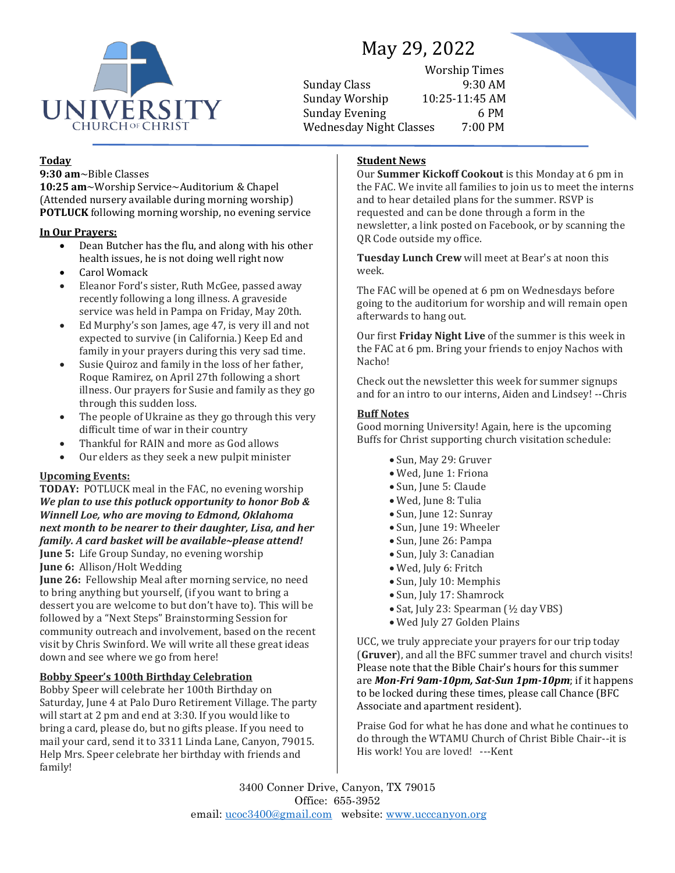

# May 29, 2022

Worship Times Sunday Class 9:30 AM Sunday Worship 10:25-11:45 AM Sunday Evening 6 PM Wednesday Night Classes 7:00 PM



## **Today**

**9:30 am**~Bible Classes

**10:25 am**~Worship Service~Auditorium & Chapel (Attended nursery available during morning worship) **POTLUCK** following morning worship, no evening service

#### **In Our Prayers:**

- Dean Butcher has the flu, and along with his other health issues, he is not doing well right now
- Carol Womack
- Eleanor Ford's sister, Ruth McGee, passed away recently following a long illness. A graveside service was held in Pampa on Friday, May 20th.
- Ed Murphy's son James, age 47, is very ill and not expected to survive (in California.) Keep Ed and family in your prayers during this very sad time.
- Susie Quiroz and family in the loss of her father, Roque Ramirez, on April 27th following a short illness. Our prayers for Susie and family as they go through this sudden loss.
- The people of Ukraine as they go through this very difficult time of war in their country
- Thankful for RAIN and more as God allows
- Our elders as they seek a new pulpit minister

### **Upcoming Events:**

**TODAY:** POTLUCK meal in the FAC, no evening worship *We plan to use this potluck opportunity to honor Bob & Winnell Loe, who are moving to Edmond, Oklahoma next month to be nearer to their daughter, Lisa, and her family. A card basket will be available~please attend!* **June 5:** Life Group Sunday, no evening worship **June 6:** Allison/Holt Wedding

**June 26:** Fellowship Meal after morning service, no need to bring anything but yourself, (if you want to bring a dessert you are welcome to but don't have to). This will be followed by a "Next Steps" Brainstorming Session for community outreach and involvement, based on the recent visit by Chris Swinford. We will write all these great ideas down and see where we go from here!

### **Bobby Speer's 100th Birthday Celebration**

Bobby Speer will celebrate her 100th Birthday on Saturday, June 4 at Palo Duro Retirement Village. The party will start at 2 pm and end at 3:30. If you would like to bring a card, please do, but no gifts please. If you need to mail your card, send it to 3311 Linda Lane, Canyon, 79015. Help Mrs. Speer celebrate her birthday with friends and family!

# **Student News**

Our **Summer Kickoff Cookout** is this Monday at 6 pm in the FAC. We invite all families to join us to meet the interns and to hear detailed plans for the summer. RSVP is requested and can be done through a form in the newsletter, a link posted on Facebook, or by scanning the QR Code outside my office.

**Tuesday Lunch Crew** will meet at Bear's at noon this week.

The FAC will be opened at 6 pm on Wednesdays before going to the auditorium for worship and will remain open afterwards to hang out.

Our first **Friday Night Live** of the summer is this week in the FAC at 6 pm. Bring your friends to enjoy Nachos with Nacho!

Check out the newsletter this week for summer signups and for an intro to our interns, Aiden and Lindsey! --Chris

#### **Buff Notes**

Good morning University! Again, here is the upcoming Buffs for Christ supporting church visitation schedule:

- Sun, May 29: Gruver
- Wed, June 1: Friona
- Sun, June 5: Claude
- Wed, June 8: Tulia
- Sun, June 12: Sunray
- Sun, June 19: Wheeler
- Sun, June 26: Pampa
- Sun, July 3: Canadian
- Wed, July 6: Fritch
- Sun, July 10: Memphis
- Sun, July 17: Shamrock
- Sat, July 23: Spearman (½ day VBS)
- Wed July 27 Golden Plains

UCC, we truly appreciate your prayers for our trip today (**Gruver**), and all the BFC summer travel and church visits! Please note that the Bible Chair's hours for this summer are *Mon-Fri 9am-10pm, Sat-Sun 1pm-10pm*; if it happens to be locked during these times, please call Chance (BFC Associate and apartment resident).

Praise God for what he has done and what he continues to do through the WTAMU Church of Christ Bible Chair--it is His work! You are loved! ---Kent

3400 Conner Drive, Canyon, TX 79015 Office: 655-3952 email: [ucoc3400@gmail.com](mailto:ucoc3400@gmail.com) website: [www.ucccanyon.org](http://www.ucccanyon.org/)